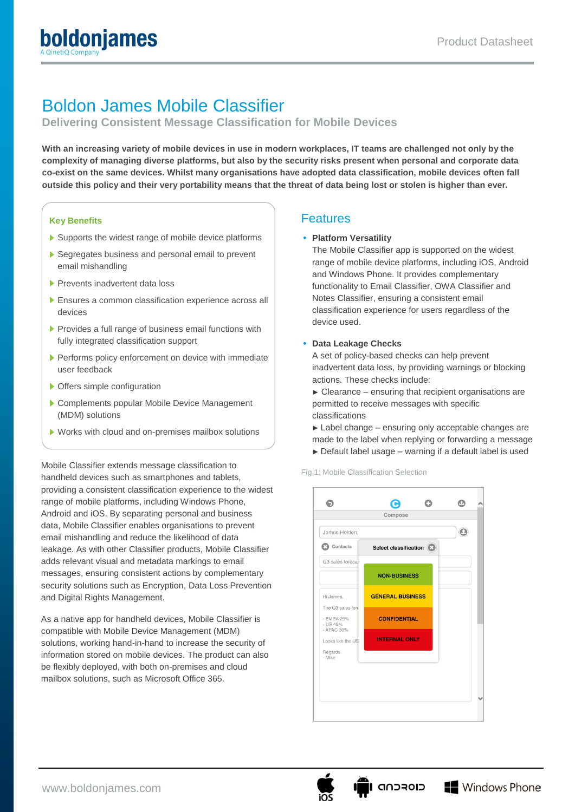# Boldon James Mobile Classifier

**Delivering Consistent Message Classification for Mobile Devices**

**With an increasing variety of mobile devices in use in modern workplaces, IT teams are challenged not only by the complexity of managing diverse platforms, but also by the security risks present when personal and corporate data co-exist on the same devices. Whilst many organisations have adopted data classification, mobile devices often fall outside this policy and their very portability means that the threat of data being lost or stolen is higher than ever.**

#### **Key Benefits**

- Supports the widest range of mobile device platforms
- Segregates business and personal email to prevent email mishandling
- **Prevents inadvertent data loss**
- Ensures a common classification experience across all devices
- **Provides a full range of business email functions with** fully integrated classification support
- **Performs policy enforcement on device with immediate** user feedback
- ▶ Offers simple configuration
- ▶ Complements popular Mobile Device Management (MDM) solutions
- Works with cloud and on-premises mailbox solutions

Mobile Classifier extends message classification to handheld devices such as smartphones and tablets, providing a consistent classification experience to the widest range of mobile platforms, including Windows Phone, Android and iOS. By separating personal and business data, Mobile Classifier enables organisations to prevent email mishandling and reduce the likelihood of data leakage. As with other Classifier products, Mobile Classifier adds relevant visual and metadata markings to email messages, ensuring consistent actions by complementary security solutions such as Encryption, Data Loss Prevention and Digital Rights Management.

As a native app for handheld devices, Mobile Classifier is compatible with Mobile Device Management (MDM) solutions, working hand-in-hand to increase the security of information stored on mobile devices. The product can also be flexibly deployed, with both on-premises and cloud mailbox solutions, such as Microsoft Office 365.

### Features

#### **Platform Versatility**

The Mobile Classifier app is supported on the widest range of mobile device platforms, including iOS, Android and Windows Phone. It provides complementary functionality to Email Classifier, OWA Classifier and Notes Classifier, ensuring a consistent email classification experience for users regardless of the device used.

#### **Data Leakage Checks**

A set of policy-based checks can help prevent inadvertent data loss, by providing warnings or blocking actions. These checks include:

- $\triangleright$  Clearance ensuring that recipient organisations are permitted to receive messages with specific classifications
- ► Label change ensuring only acceptable changes are made to the label when replying or forwarding a message
- ► Default label usage warning if a default label is used

Fig 1: Mobile Classification Selection



כוסדכחה וו